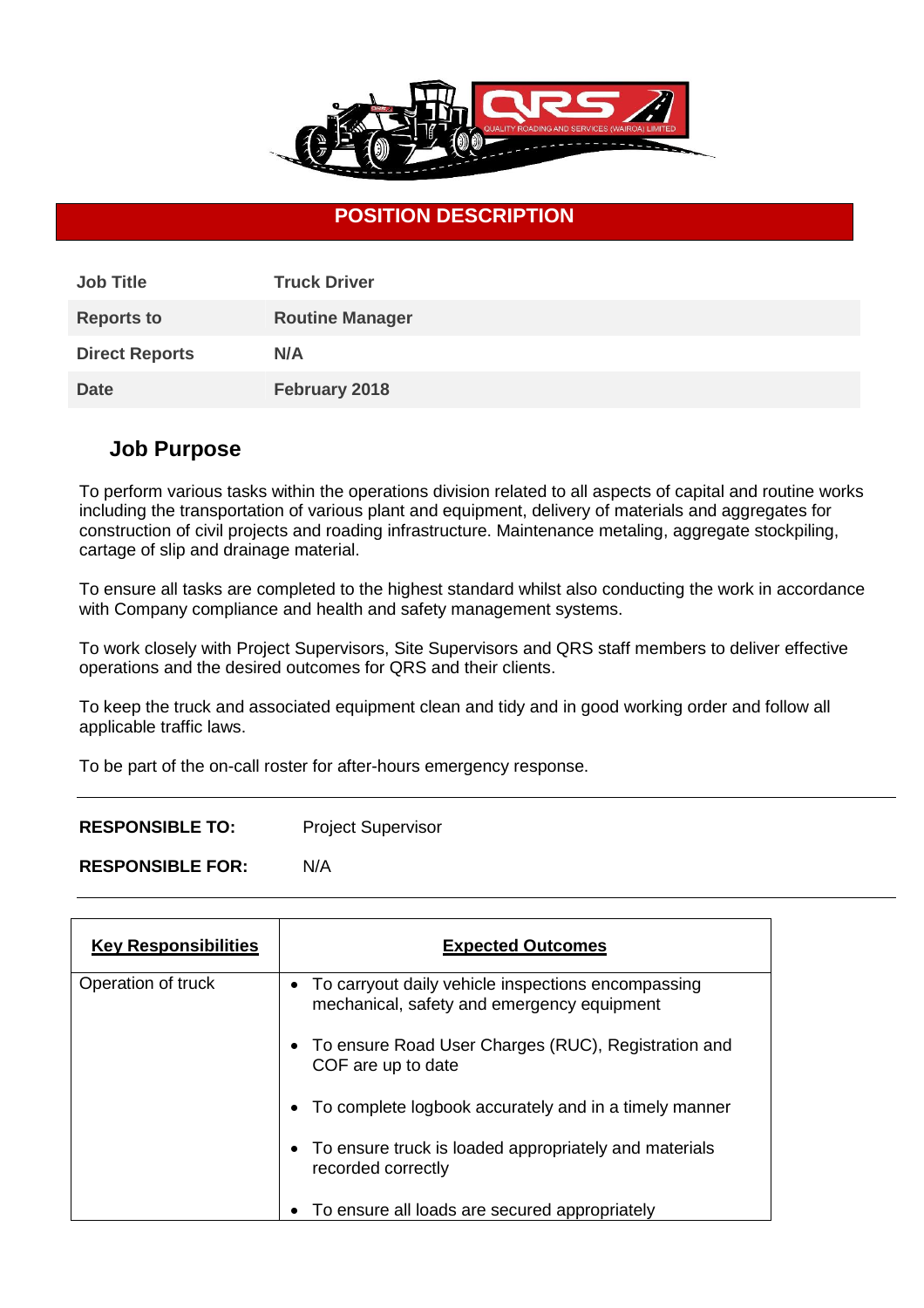

## **POSITION DESCRIPTION**

| <b>Job Title</b>      | <b>Truck Driver</b>    |
|-----------------------|------------------------|
| <b>Reports to</b>     | <b>Routine Manager</b> |
| <b>Direct Reports</b> | N/A                    |
| <b>Date</b>           | February 2018          |

### **Job Purpose**

To perform various tasks within the operations division related to all aspects of capital and routine works including the transportation of various plant and equipment, delivery of materials and aggregates for construction of civil projects and roading infrastructure. Maintenance metaling, aggregate stockpiling, cartage of slip and drainage material.

To ensure all tasks are completed to the highest standard whilst also conducting the work in accordance with Company compliance and health and safety management systems.

To work closely with Project Supervisors, Site Supervisors and QRS staff members to deliver effective operations and the desired outcomes for QRS and their clients.

To keep the truck and associated equipment clean and tidy and in good working order and follow all applicable traffic laws.

To be part of the on-call roster for after-hours emergency response.

**RESPONSIBLE TO:** Project Supervisor

**RESPONSIBLE FOR:** N/A

| <b>Key Responsibilities</b> | <b>Expected Outcomes</b>                                                                           |
|-----------------------------|----------------------------------------------------------------------------------------------------|
| Operation of truck          | • To carryout daily vehicle inspections encompassing<br>mechanical, safety and emergency equipment |
|                             | • To ensure Road User Charges (RUC), Registration and<br>COF are up to date                        |
|                             | To complete logbook accurately and in a timely manner<br>٠                                         |
|                             | • To ensure truck is loaded appropriately and materials<br>recorded correctly                      |
|                             | To ensure all loads are secured appropriately<br>$\bullet$                                         |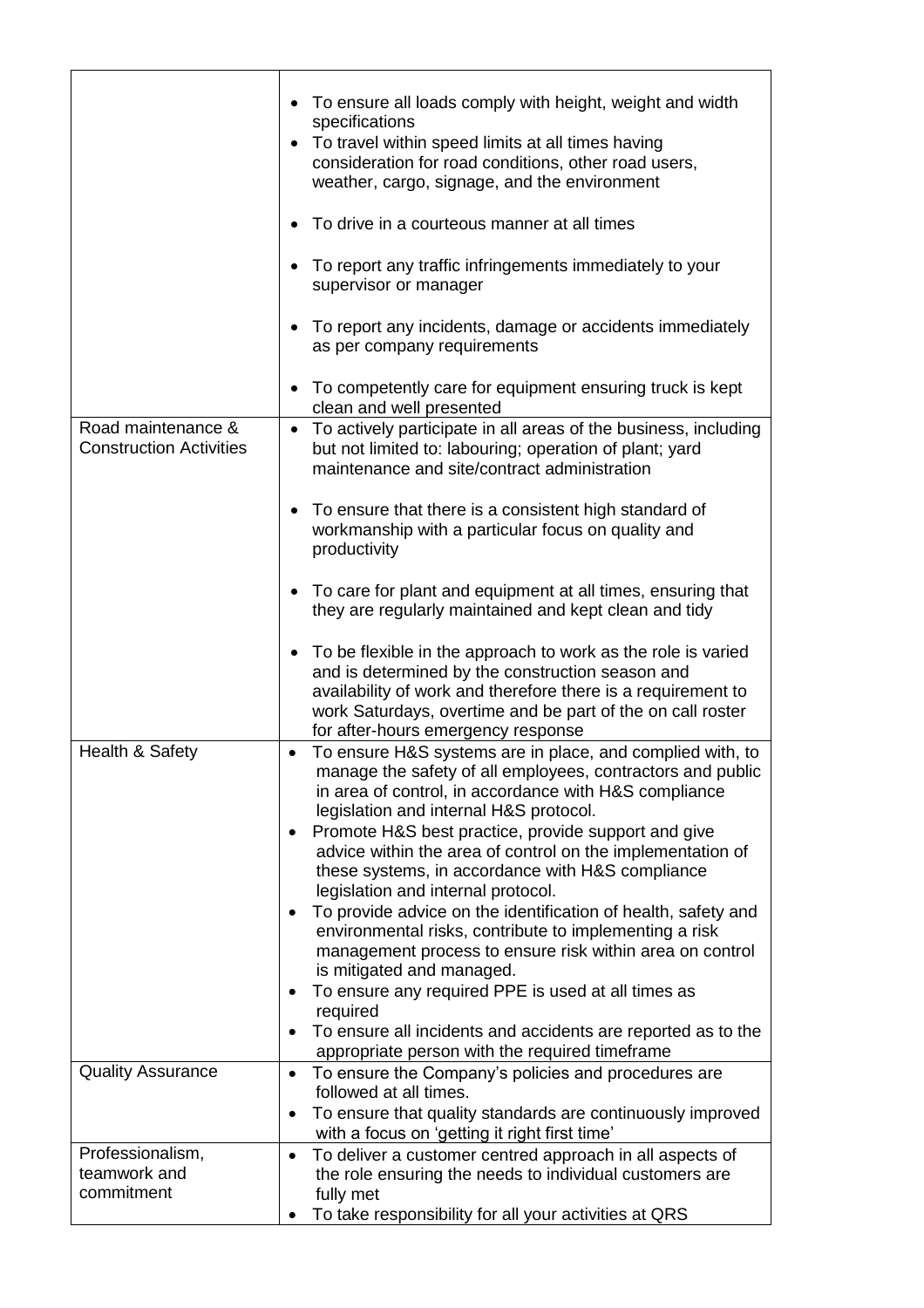|                                                      | • To ensure all loads comply with height, weight and width<br>specifications<br>To travel within speed limits at all times having<br>consideration for road conditions, other road users,<br>weather, cargo, signage, and the environment<br>To drive in a courteous manner at all times<br>To report any traffic infringements immediately to your                                                                                                                                                                                                                                                                                                                                                                                                                                                                                                                                                        |
|------------------------------------------------------|------------------------------------------------------------------------------------------------------------------------------------------------------------------------------------------------------------------------------------------------------------------------------------------------------------------------------------------------------------------------------------------------------------------------------------------------------------------------------------------------------------------------------------------------------------------------------------------------------------------------------------------------------------------------------------------------------------------------------------------------------------------------------------------------------------------------------------------------------------------------------------------------------------|
|                                                      | supervisor or manager<br>To report any incidents, damage or accidents immediately<br>as per company requirements                                                                                                                                                                                                                                                                                                                                                                                                                                                                                                                                                                                                                                                                                                                                                                                           |
|                                                      | To competently care for equipment ensuring truck is kept<br>clean and well presented                                                                                                                                                                                                                                                                                                                                                                                                                                                                                                                                                                                                                                                                                                                                                                                                                       |
| Road maintenance &<br><b>Construction Activities</b> | To actively participate in all areas of the business, including<br>but not limited to: labouring; operation of plant; yard<br>maintenance and site/contract administration                                                                                                                                                                                                                                                                                                                                                                                                                                                                                                                                                                                                                                                                                                                                 |
|                                                      | To ensure that there is a consistent high standard of<br>workmanship with a particular focus on quality and<br>productivity                                                                                                                                                                                                                                                                                                                                                                                                                                                                                                                                                                                                                                                                                                                                                                                |
|                                                      | To care for plant and equipment at all times, ensuring that<br>they are regularly maintained and kept clean and tidy                                                                                                                                                                                                                                                                                                                                                                                                                                                                                                                                                                                                                                                                                                                                                                                       |
|                                                      | To be flexible in the approach to work as the role is varied<br>$\bullet$<br>and is determined by the construction season and<br>availability of work and therefore there is a requirement to<br>work Saturdays, overtime and be part of the on call roster<br>for after-hours emergency response                                                                                                                                                                                                                                                                                                                                                                                                                                                                                                                                                                                                          |
| Health & Safety                                      | To ensure H&S systems are in place, and complied with, to<br>$\bullet$<br>manage the safety of all employees, contractors and public<br>in area of control, in accordance with H&S compliance<br>legislation and internal H&S protocol.<br>Promote H&S best practice, provide support and give<br>٠<br>advice within the area of control on the implementation of<br>these systems, in accordance with H&S compliance<br>legislation and internal protocol.<br>To provide advice on the identification of health, safety and<br>$\bullet$<br>environmental risks, contribute to implementing a risk<br>management process to ensure risk within area on control<br>is mitigated and managed.<br>To ensure any required PPE is used at all times as<br>$\bullet$<br>required<br>To ensure all incidents and accidents are reported as to the<br>$\bullet$<br>appropriate person with the required timeframe |
| <b>Quality Assurance</b>                             | To ensure the Company's policies and procedures are<br>$\bullet$<br>followed at all times.<br>To ensure that quality standards are continuously improved<br>$\bullet$                                                                                                                                                                                                                                                                                                                                                                                                                                                                                                                                                                                                                                                                                                                                      |
|                                                      | with a focus on 'getting it right first time'                                                                                                                                                                                                                                                                                                                                                                                                                                                                                                                                                                                                                                                                                                                                                                                                                                                              |
| Professionalism,<br>teamwork and<br>commitment       | To deliver a customer centred approach in all aspects of<br>$\bullet$<br>the role ensuring the needs to individual customers are<br>fully met<br>To take responsibility for all your activities at QRS                                                                                                                                                                                                                                                                                                                                                                                                                                                                                                                                                                                                                                                                                                     |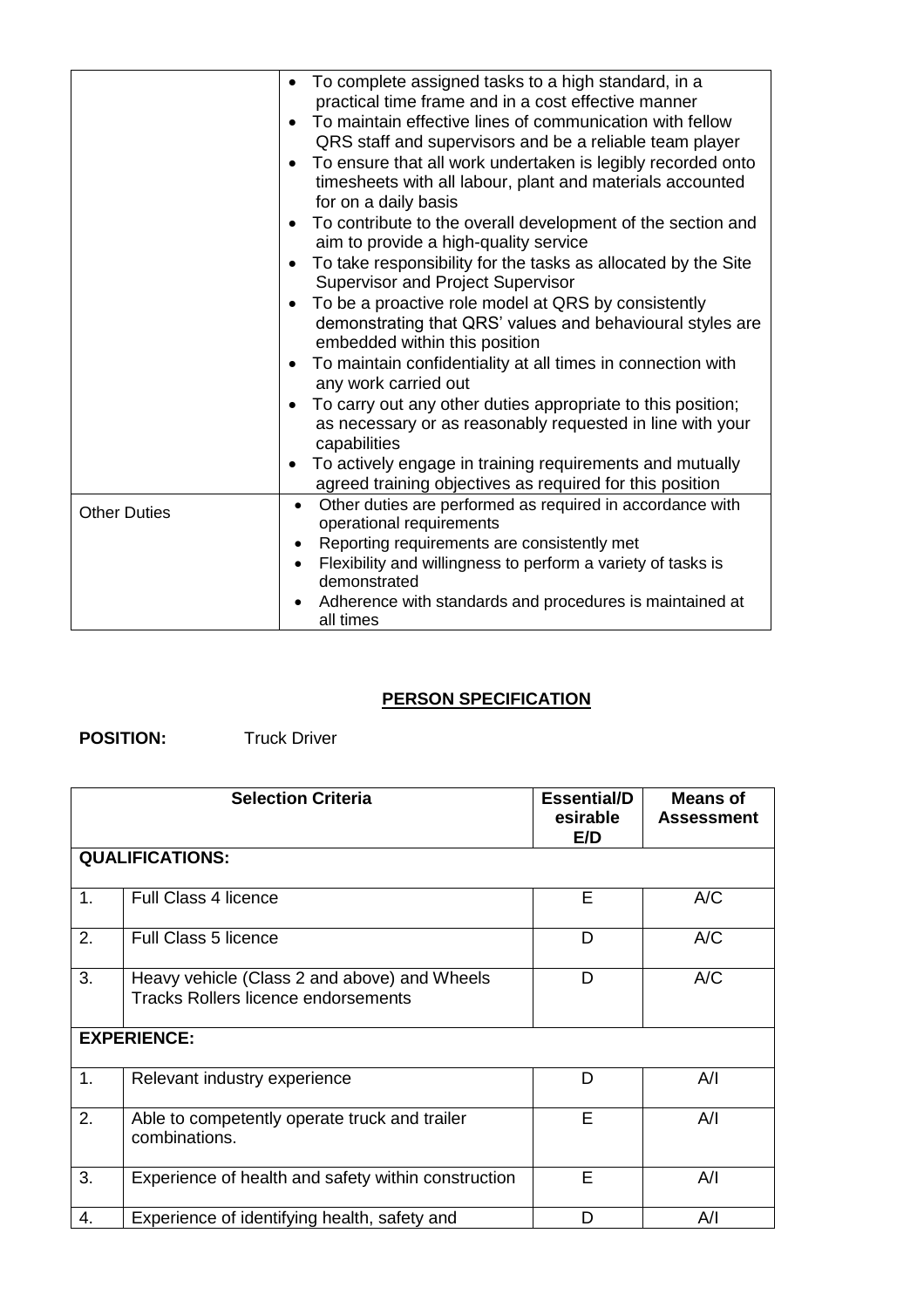|                     | • To complete assigned tasks to a high standard, in a<br>practical time frame and in a cost effective manner<br>To maintain effective lines of communication with fellow<br>QRS staff and supervisors and be a reliable team player<br>To ensure that all work undertaken is legibly recorded onto<br>$\bullet$<br>timesheets with all labour, plant and materials accounted<br>for on a daily basis<br>To contribute to the overall development of the section and<br>$\bullet$<br>aim to provide a high-quality service<br>To take responsibility for the tasks as allocated by the Site<br>$\bullet$<br>Supervisor and Project Supervisor<br>To be a proactive role model at QRS by consistently<br>demonstrating that QRS' values and behavioural styles are<br>embedded within this position<br>To maintain confidentiality at all times in connection with<br>any work carried out<br>To carry out any other duties appropriate to this position;<br>as necessary or as reasonably requested in line with your<br>capabilities<br>To actively engage in training requirements and mutually<br>$\bullet$<br>agreed training objectives as required for this position |
|---------------------|---------------------------------------------------------------------------------------------------------------------------------------------------------------------------------------------------------------------------------------------------------------------------------------------------------------------------------------------------------------------------------------------------------------------------------------------------------------------------------------------------------------------------------------------------------------------------------------------------------------------------------------------------------------------------------------------------------------------------------------------------------------------------------------------------------------------------------------------------------------------------------------------------------------------------------------------------------------------------------------------------------------------------------------------------------------------------------------------------------------------------------------------------------------------------|
| <b>Other Duties</b> | Other duties are performed as required in accordance with<br>$\bullet$<br>operational requirements                                                                                                                                                                                                                                                                                                                                                                                                                                                                                                                                                                                                                                                                                                                                                                                                                                                                                                                                                                                                                                                                        |
|                     | Reporting requirements are consistently met<br>Flexibility and willingness to perform a variety of tasks is                                                                                                                                                                                                                                                                                                                                                                                                                                                                                                                                                                                                                                                                                                                                                                                                                                                                                                                                                                                                                                                               |
|                     | demonstrated                                                                                                                                                                                                                                                                                                                                                                                                                                                                                                                                                                                                                                                                                                                                                                                                                                                                                                                                                                                                                                                                                                                                                              |
|                     | Adherence with standards and procedures is maintained at<br>all times                                                                                                                                                                                                                                                                                                                                                                                                                                                                                                                                                                                                                                                                                                                                                                                                                                                                                                                                                                                                                                                                                                     |
|                     |                                                                                                                                                                                                                                                                                                                                                                                                                                                                                                                                                                                                                                                                                                                                                                                                                                                                                                                                                                                                                                                                                                                                                                           |

#### **PERSON SPECIFICATION**

#### **POSITION:** Truck Driver

|                        | <b>Selection Criteria</b>                                                                  | <b>Essential/D</b><br>esirable<br>E/D | <b>Means of</b><br><b>Assessment</b> |
|------------------------|--------------------------------------------------------------------------------------------|---------------------------------------|--------------------------------------|
| <b>QUALIFICATIONS:</b> |                                                                                            |                                       |                                      |
| 1 <sub>1</sub>         | Full Class 4 licence                                                                       | E                                     | A/C                                  |
| 2.                     | <b>Full Class 5 licence</b>                                                                | D                                     | A/C                                  |
| 3.                     | Heavy vehicle (Class 2 and above) and Wheels<br><b>Tracks Rollers licence endorsements</b> | D                                     | A/C                                  |
| <b>EXPERIENCE:</b>     |                                                                                            |                                       |                                      |
| 1.                     | Relevant industry experience                                                               | D                                     | A/I                                  |
| 2.                     | Able to competently operate truck and trailer<br>combinations.                             | E                                     | A/I                                  |
| 3.                     | Experience of health and safety within construction                                        | E                                     | A/I                                  |
| 4.                     | Experience of identifying health, safety and                                               | D                                     | A/I                                  |